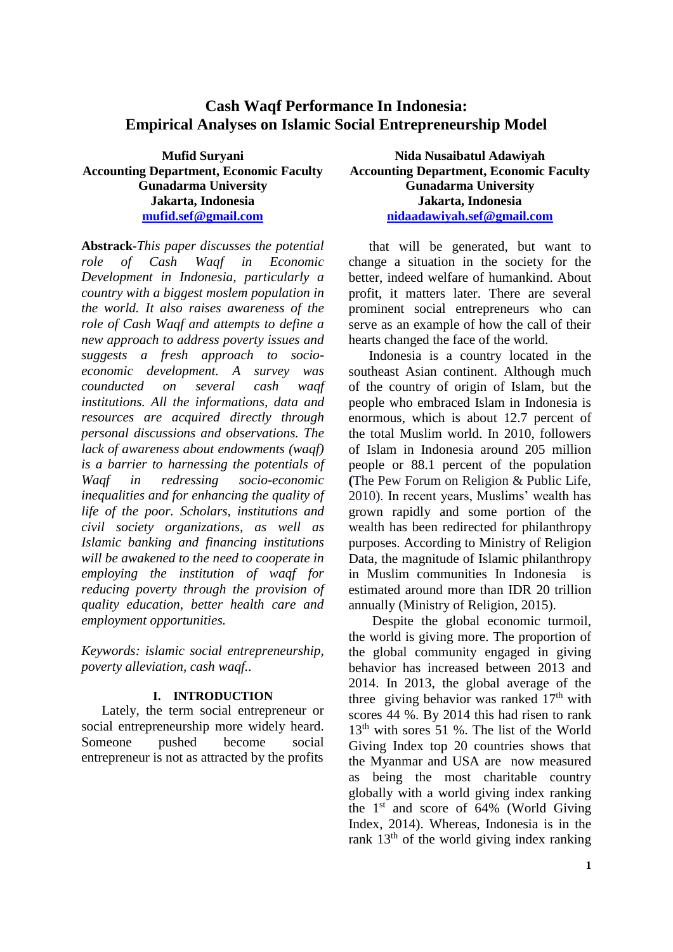# **Cash Waqf Performance In Indonesia: Empirical Analyses on Islamic Social Entrepreneurship Model**

**Mufid Suryani Accounting Department, Economic Faculty Gunadarma University Jakarta, Indonesia [mufid.sef@gmail.com](mailto:mufid.sef@gmail.com)**

**Abstrack-***This paper discusses the potential role of Cash Waqf in Economic Development in Indonesia, particularly a country with a biggest moslem population in the world. It also raises awareness of the role of Cash Waqf and attempts to define a new approach to address poverty issues and suggests a fresh approach to socioeconomic development. A survey was counducted on several cash waqf institutions. All the informations, data and resources are acquired directly through personal discussions and observations. The lack of awareness about endowments (waqf) is a barrier to harnessing the potentials of Waqf in redressing socio-economic inequalities and for enhancing the quality of life of the poor. Scholars, institutions and civil society organizations, as well as Islamic banking and financing institutions will be awakened to the need to cooperate in employing the institution of waqf for reducing poverty through the provision of quality education, better health care and employment opportunities.* 

*Keywords: islamic social entrepreneurship, poverty alleviation, cash waqf..*

#### **I. INTRODUCTION**

Lately, the term social entrepreneur or social entrepreneurship more widely heard. Someone pushed become social entrepreneur is not as attracted by the profits

**Nida Nusaibatul Adawiyah Accounting Department, Economic Faculty Gunadarma University Jakarta, Indonesia [nidaadawiyah.sef@gmail.com](mailto:nidaadawiyah.sef@gmail.com)**

that will be generated, but want to change a situation in the society for the better, indeed welfare of humankind. About profit, it matters later. There are several prominent social entrepreneurs who can serve as an example of how the call of their hearts changed the face of the world.

Indonesia is a country located in the southeast Asian continent. Although much of the country of origin of Islam, but the people who embraced Islam in Indonesia is enormous, which is about 12.7 percent of the total Muslim world. In 2010, followers of Islam in Indonesia around 205 million people or 88.1 percent of the population **(**The Pew Forum on Religion & Public Life, 2010). In recent years, Muslims' wealth has grown rapidly and some portion of the wealth has been redirected for philanthropy purposes. According to Ministry of Religion Data, the magnitude of Islamic philanthropy in Muslim communities In Indonesia is estimated around more than IDR 20 trillion annually (Ministry of Religion, 2015).

Despite the global economic turmoil, the world is giving more. The proportion of the global community engaged in giving behavior has increased between 2013 and 2014. In 2013, the global average of the three giving behavior was ranked  $17<sup>th</sup>$  with scores 44 %. By 2014 this had risen to rank 13th with sores 51 %. The list of the World Giving Index top 20 countries shows that the Myanmar and USA are now measured as being the most charitable country globally with a world giving index ranking the  $1<sup>st</sup>$  and score of 64% (World Giving Index, 2014). Whereas, Indonesia is in the rank 13th of the world giving index ranking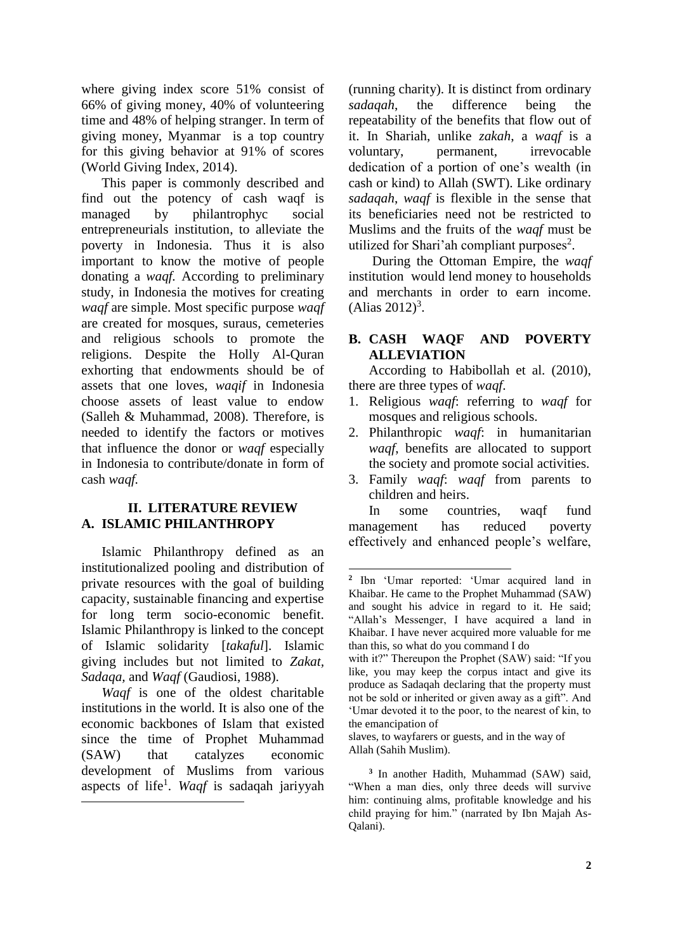where giving index score 51% consist of 66% of giving money, 40% of volunteering time and 48% of helping stranger. In term of giving money, Myanmar is a top country for this giving behavior at 91% of scores (World Giving Index, 2014).

This paper is commonly described and find out the potency of cash waqf is managed by philantrophyc social entrepreneurials institution, to alleviate the poverty in Indonesia. Thus it is also important to know the motive of people donating a *waqf.* According to preliminary study, in Indonesia the motives for creating *waqf* are simple. Most specific purpose *waqf*  are created for mosques, suraus, cemeteries and religious schools to promote the religions. Despite the Holly Al-Quran exhorting that endowments should be of assets that one loves, *waqif* in Indonesia choose assets of least value to endow (Salleh & Muhammad, 2008). Therefore, is needed to identify the factors or motives that influence the donor or *waqf* especially in Indonesia to contribute/donate in form of cash *waqf.*

#### **II. LITERATURE REVIEW A. ISLAMIC PHILANTHROPY**

Islamic Philanthropy defined as an institutionalized pooling and distribution of private resources with the goal of building capacity, sustainable financing and expertise for long term socio-economic benefit. Islamic Philanthropy is linked to the concept of Islamic solidarity [*takaful*]. Islamic giving includes but not limited to *Zakat, Sadaqa,* and *Waqf* (Gaudiosi, 1988).

*Waqf* is one of the oldest charitable institutions in the world. It is also one of the economic backbones of Islam that existed since the time of Prophet Muhammad (SAW) that catalyzes economic development of Muslims from various aspects of life<sup>1</sup>. *Waqf* is sadaqah jariyyah

(running charity). It is distinct from ordinary *sadaqah*, the difference being the repeatability of the benefits that flow out of it. In Shariah, unlike *zakah*, a *waqf* is a voluntary, permanent, irrevocable dedication of a portion of one's wealth (in cash or kind) to Allah (SWT). Like ordinary *sadaqah*, *waqf* is flexible in the sense that its beneficiaries need not be restricted to Muslims and the fruits of the *waqf* must be utilized for Shari'ah compliant purposes $2$ .

During the Ottoman Empire, the *waqf*  institution would lend money to households and merchants in order to earn income.  $(A$ lias 2012)<sup>3</sup>.

## **B. CASH WAQF AND POVERTY ALLEVIATION**

According to Habibollah et al. (2010), there are three types of *waqf*.

- 1. Religious *waqf*: referring to *waqf* for mosques and religious schools.
- 2. Philanthropic *waqf*: in humanitarian *waqf*, benefits are allocated to support the society and promote social activities.
- 3. Family *waqf*: *waqf* from parents to children and heirs.

In some countries, waqf fund management has reduced poverty effectively and enhanced people's welfare,

**<sup>2</sup>** Ibn 'Umar reported: 'Umar acquired land in Khaibar. He came to the Prophet Muhammad (SAW) and sought his advice in regard to it. He said; "Allah's Messenger, I have acquired a land in Khaibar. I have never acquired more valuable for me than this, so what do you command I do

with it?" Thereupon the Prophet (SAW) said: "If you like, you may keep the corpus intact and give its produce as Sadaqah declaring that the property must not be sold or inherited or given away as a gift". And 'Umar devoted it to the poor, to the nearest of kin, to the emancipation of

slaves, to wayfarers or guests, and in the way of Allah (Sahih Muslim).

**<sup>3</sup>** In another Hadith, Muhammad (SAW) said, "When a man dies, only three deeds will survive him: continuing alms, profitable knowledge and his child praying for him." (narrated by Ibn Majah As-Qalani).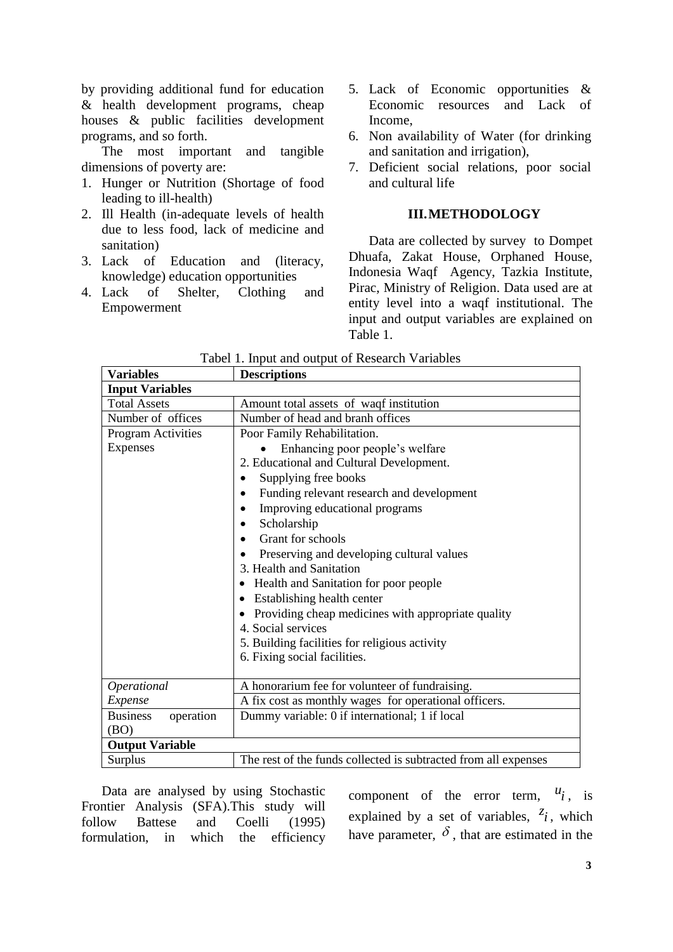by providing additional fund for education & health development programs, cheap houses & public facilities development programs, and so forth.

The most important and tangible dimensions of poverty are:

- 1. Hunger or Nutrition (Shortage of food leading to ill-health)
- 2. Ill Health (in-adequate levels of health due to less food, lack of medicine and sanitation)
- 3. Lack of Education and (literacy, knowledge) education opportunities
- 4. Lack of Shelter, Clothing and Empowerment
- 5. Lack of Economic opportunities & Economic resources and Lack of Income,
- 6. Non availability of Water (for drinking and sanitation and irrigation),
- 7. Deficient social relations, poor social and cultural life

#### **III.METHODOLOGY**

Data are collected by survey to Dompet Dhuafa, Zakat House, Orphaned House, Indonesia Waqf Agency, Tazkia Institute, Pirac, Ministry of Religion. Data used are at entity level into a waqf institutional. The input and output variables are explained on Table 1.

| <b>Variables</b>             | <b>Descriptions</b>                                             |  |  |  |  |
|------------------------------|-----------------------------------------------------------------|--|--|--|--|
| <b>Input Variables</b>       |                                                                 |  |  |  |  |
| <b>Total Assets</b>          | Amount total assets of waqf institution                         |  |  |  |  |
| Number of offices            | Number of head and branh offices                                |  |  |  |  |
| <b>Program Activities</b>    | Poor Family Rehabilitation.                                     |  |  |  |  |
| Expenses                     | Enhancing poor people's welfare                                 |  |  |  |  |
|                              | 2. Educational and Cultural Development.                        |  |  |  |  |
|                              | Supplying free books                                            |  |  |  |  |
|                              | Funding relevant research and development                       |  |  |  |  |
|                              | Improving educational programs                                  |  |  |  |  |
|                              | Scholarship<br>٠                                                |  |  |  |  |
|                              | Grant for schools<br>$\bullet$                                  |  |  |  |  |
|                              | Preserving and developing cultural values                       |  |  |  |  |
|                              | 3. Health and Sanitation                                        |  |  |  |  |
|                              | Health and Sanitation for poor people<br>٠                      |  |  |  |  |
|                              | Establishing health center                                      |  |  |  |  |
|                              | Providing cheap medicines with appropriate quality              |  |  |  |  |
|                              | 4. Social services                                              |  |  |  |  |
|                              | 5. Building facilities for religious activity                   |  |  |  |  |
|                              | 6. Fixing social facilities.                                    |  |  |  |  |
|                              |                                                                 |  |  |  |  |
| Operational                  | A honorarium fee for volunteer of fundraising.                  |  |  |  |  |
| Expense                      | A fix cost as monthly wages for operational officers.           |  |  |  |  |
| <b>Business</b><br>operation | Dummy variable: 0 if international; 1 if local                  |  |  |  |  |
| (BO)                         |                                                                 |  |  |  |  |
| <b>Output Variable</b>       |                                                                 |  |  |  |  |
| Surplus                      | The rest of the funds collected is subtracted from all expenses |  |  |  |  |

Tabel 1. Input and output of Research Variables

Data are analysed by using Stochastic Frontier Analysis (SFA).This study will follow Battese and Coelli (1995) formulation, in which the efficiency

component of the error term,  $u_i$ , is explained by a set of variables,  $z_i$ , which have parameter,  $\delta$ , that are estimated in the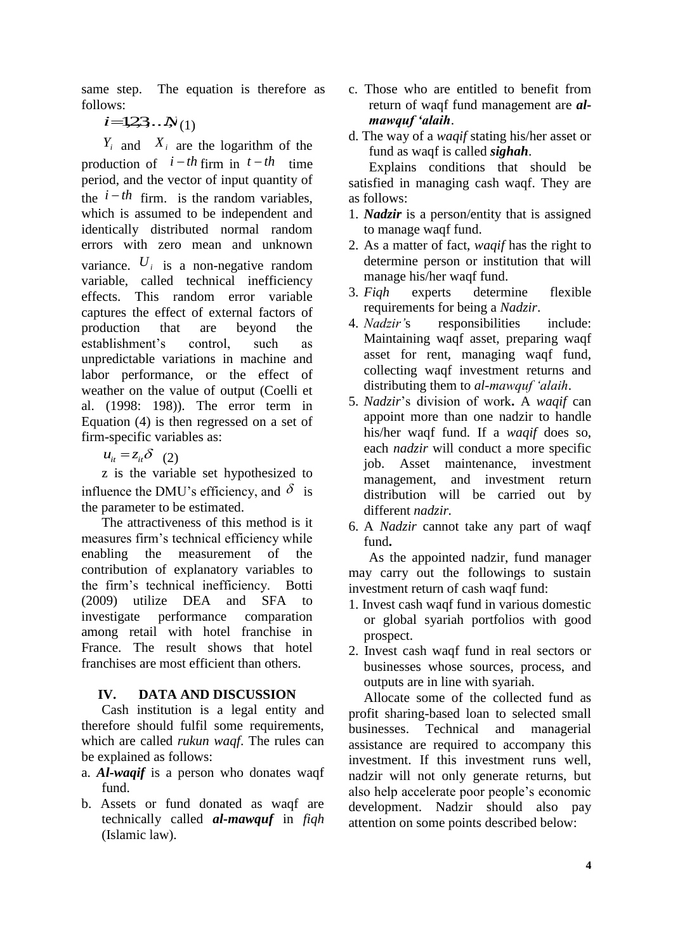same step. The equation is therefore as follows:

 $i = 1,2,3...$  $N(1)$ 

 $Y_i$  and  $X_i$  are the logarithm of the production of  $i-th$  firm in  $t-th$  time Explains period, and the vector of input quantity of the  $i-th$  firm. is the random variables, which is assumed to be independent and identically distributed normal random errors with zero mean and unknown variance.  $U_i$  is a non-negative random variable, called technical inefficiency effects. This random error variable captures the effect of external factors of production that are beyond the establishment's control, such as unpredictable variations in machine and labor performance, or the effect of weather on the value of output (Coelli et al. (1998: 198)). The error term in Equation (4) is then regressed on a set of firm-specific variables as:

 $u_{it} = z_{it} \delta$  (2)

z is the variable set hypothesized to influence the DMU's efficiency, and  $\delta$  is the parameter to be estimated.

The attractiveness of this method is it measures firm's technical efficiency while enabling the measurement of the contribution of explanatory variables to the firm's technical inefficiency. Botti (2009) utilize DEA and SFA to investigate performance comparation among retail with hotel franchise in France. The result shows that hotel franchises are most efficient than others.

## **IV. DATA AND DISCUSSION**

Cash institution is a legal entity and therefore should fulfil some requirements, which are called *rukun waqf*. The rules can be explained as follows:

- a. *Al-waqif* is a person who donates waqf fund.
- b. Assets or fund donated as waqf are technically called *al-mawquf* in *fiqh*  (Islamic law).
- c. Those who are entitled to benefit from return of waqf fund management are *almawquf 'alaih*.
- d. The way of a *waqif* stating his/her asset or fund as waqf is called *sighah*.

Explains conditions that should be satisfied in managing cash waqf. They are as follows:

- 1. *Nadzir* is a person/entity that is assigned to manage waqf fund.
- 2. As a matter of fact, *waqif* has the right to determine person or institution that will manage his/her waqf fund.
- 3. *Fiqh* experts determine flexible requirements for being a *Nadzir*.
- 4. *Nadzir'*s responsibilities include: Maintaining waqf asset, preparing waqf asset for rent, managing waqf fund, collecting waqf investment returns and distributing them to *al-mawquf 'alaih*.
- 5. *Nadzir*'s division of work**.** A *waqif* can appoint more than one nadzir to handle his/her waqf fund. If a *waqif* does so, each *nadzir* will conduct a more specific job. Asset maintenance, investment management, and investment return distribution will be carried out by different *nadzir.*
- 6. A *Nadzir* cannot take any part of waqf fund**.**

As the appointed nadzir, fund manager may carry out the followings to sustain investment return of cash waqf fund:

- 1. Invest cash waqf fund in various domestic or global syariah portfolios with good prospect.
- 2. Invest cash waqf fund in real sectors or businesses whose sources, process, and outputs are in line with syariah.

Allocate some of the collected fund as profit sharing-based loan to selected small businesses. Technical and managerial assistance are required to accompany this investment. If this investment runs well, nadzir will not only generate returns, but also help accelerate poor people's economic development. Nadzir should also pay attention on some points described below: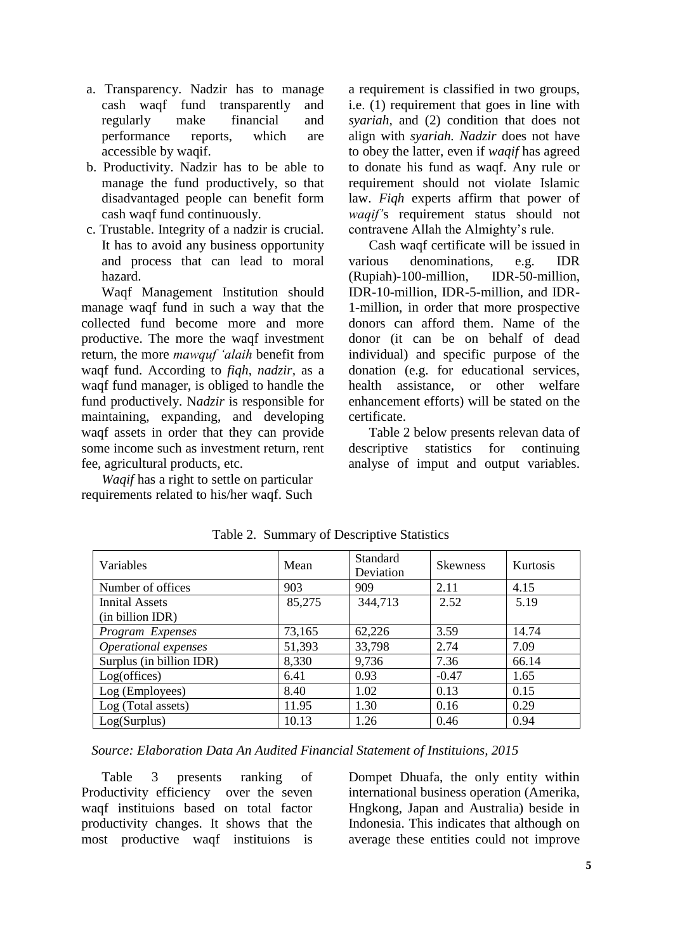- a. Transparency. Nadzir has to manage cash waqf fund transparently and regularly make financial and performance reports, which are accessible by waqif.
- b. Productivity. Nadzir has to be able to manage the fund productively, so that disadvantaged people can benefit form cash waqf fund continuously.
- c. Trustable. Integrity of a nadzir is crucial. It has to avoid any business opportunity and process that can lead to moral hazard.

Waqf Management Institution should manage waqf fund in such a way that the collected fund become more and more productive. The more the waqf investment return, the more *mawquf 'alaih* benefit from waqf fund. According to *fiqh*, *nadzir,* as a waqf fund manager, is obliged to handle the fund productively. N*adzir* is responsible for maintaining, expanding, and developing waqf assets in order that they can provide some income such as investment return, rent fee, agricultural products, etc.

*Waqif* has a right to settle on particular requirements related to his/her waqf. Such a requirement is classified in two groups, i.e. (1) requirement that goes in line with *syariah,* and (2) condition that does not align with *syariah. Nadzir* does not have to obey the latter, even if *waqif* has agreed to donate his fund as waqf. Any rule or requirement should not violate Islamic law. *Fiqh* experts affirm that power of *waqif'*s requirement status should not contravene Allah the Almighty's rule.

Cash waqf certificate will be issued in various denominations, e.g. IDR (Rupiah)-100-million, IDR-50-million, IDR-10-million, IDR-5-million, and IDR-1-million, in order that more prospective donors can afford them. Name of the donor (it can be on behalf of dead individual) and specific purpose of the donation (e.g. for educational services, health assistance, or other welfare enhancement efforts) will be stated on the certificate.

Table 2 below presents relevan data of descriptive statistics for continuing analyse of imput and output variables.

| Variables                          | Mean   | Standard<br>Deviation | <b>Skewness</b> | Kurtosis |
|------------------------------------|--------|-----------------------|-----------------|----------|
| Number of offices                  | 903    | 909                   | 2.11            | 4.15     |
| Innital Assets<br>(in billion IDR) | 85,275 | 344,713               | 2.52            | 5.19     |
| Program Expenses                   | 73,165 | 62,226                | 3.59            | 14.74    |
| Operational expenses               | 51,393 | 33,798                | 2.74            | 7.09     |
| Surplus (in billion IDR)           | 8,330  | 9,736                 | 7.36            | 66.14    |
| Log(offices)                       | 6.41   | 0.93                  | $-0.47$         | 1.65     |
| Log (Employees)                    | 8.40   | 1.02                  | 0.13            | 0.15     |
| Log (Total assets)                 | 11.95  | 1.30                  | 0.16            | 0.29     |
| Log(Surplus)                       | 10.13  | 1.26                  | 0.46            | 0.94     |

Table 2. Summary of Descriptive Statistics

*Source: Elaboration Data An Audited Financial Statement of Instituions, 2015*

Table 3 presents ranking of Productivity efficiency over the seven waqf instituions based on total factor productivity changes. It shows that the most productive waqf instituions is

Dompet Dhuafa, the only entity within international business operation (Amerika, Hngkong, Japan and Australia) beside in Indonesia. This indicates that although on average these entities could not improve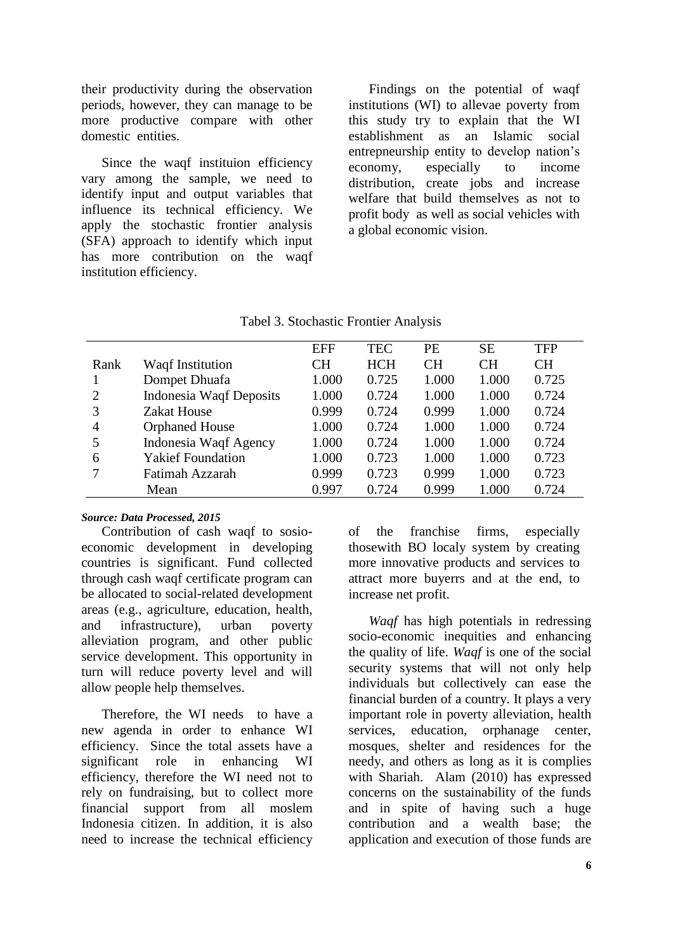their productivity during the observation periods, however, they can manage to be more productive compare with other domestic entities.

Since the waqf instituion efficiency vary among the sample, we need to identify input and output variables that influence its technical efficiency. We apply the stochastic frontier analysis (SFA) approach to identify which input has more contribution on the waqf institution efficiency.

Findings on the potential of waqf institutions (WI) to allevae poverty from this study try to explain that the WI establishment as an Islamic social entrepneurship entity to develop nation's economy, especially to income distribution, create jobs and increase welfare that build themselves as not to profit body as well as social vehicles with a global economic vision.

|                |                                | <b>EFF</b> | <b>TEC</b> | <b>PE</b> | <b>SE</b> | <b>TFP</b> |
|----------------|--------------------------------|------------|------------|-----------|-----------|------------|
| Rank           | Waqf Institution               | <b>CH</b>  | <b>HCH</b> | <b>CH</b> | <b>CH</b> | <b>CH</b>  |
| -1             | Dompet Dhuafa                  | 1.000      | 0.725      | 1.000     | 1.000     | 0.725      |
| 2              | <b>Indonesia Waqf Deposits</b> | 1.000      | 0.724      | 1.000     | 1.000     | 0.724      |
| 3              | <b>Zakat House</b>             | 0.999      | 0.724      | 0.999     | 1.000     | 0.724      |
| $\overline{4}$ | <b>Orphaned House</b>          | 1.000      | 0.724      | 1.000     | 1.000     | 0.724      |
| 5              | Indonesia Waqf Agency          | 1.000      | 0.724      | 1.000     | 1.000     | 0.724      |
| 6              | <b>Yakief Foundation</b>       | 1.000      | 0.723      | 1.000     | 1.000     | 0.723      |
| 7              | Fatimah Azzarah                | 0.999      | 0.723      | 0.999     | 1.000     | 0.723      |
|                | Mean                           | 0.997      | 0.724      | 0.999     | 1.000     | 0.724      |

Tabel 3. Stochastic Frontier Analysis

#### *Source: Data Processed, 2015*

Contribution of cash waqf to sosioeconomic development in developing countries is significant. Fund collected through cash waqf certificate program can be allocated to social-related development areas (e.g., agriculture, education, health, and infrastructure), urban poverty alleviation program, and other public service development. This opportunity in turn will reduce poverty level and will allow people help themselves.

Therefore, the WI needs to have a new agenda in order to enhance WI efficiency. Since the total assets have a significant role in enhancing WI efficiency, therefore the WI need not to rely on fundraising, but to collect more financial support from all moslem Indonesia citizen. In addition, it is also need to increase the technical efficiency

of the franchise firms, especially thosewith BO localy system by creating more innovative products and services to attract more buyerrs and at the end, to increase net profit.

*Waqf* has high potentials in redressing socio-economic inequities and enhancing the quality of life. *Waqf* is one of the social security systems that will not only help individuals but collectively can ease the financial burden of a country. It plays a very important role in poverty alleviation, health services, education, orphanage center, mosques, shelter and residences for the needy, and others as long as it is complies with Shariah. Alam (2010) has expressed concerns on the sustainability of the funds and in spite of having such a huge contribution and a wealth base; the application and execution of those funds are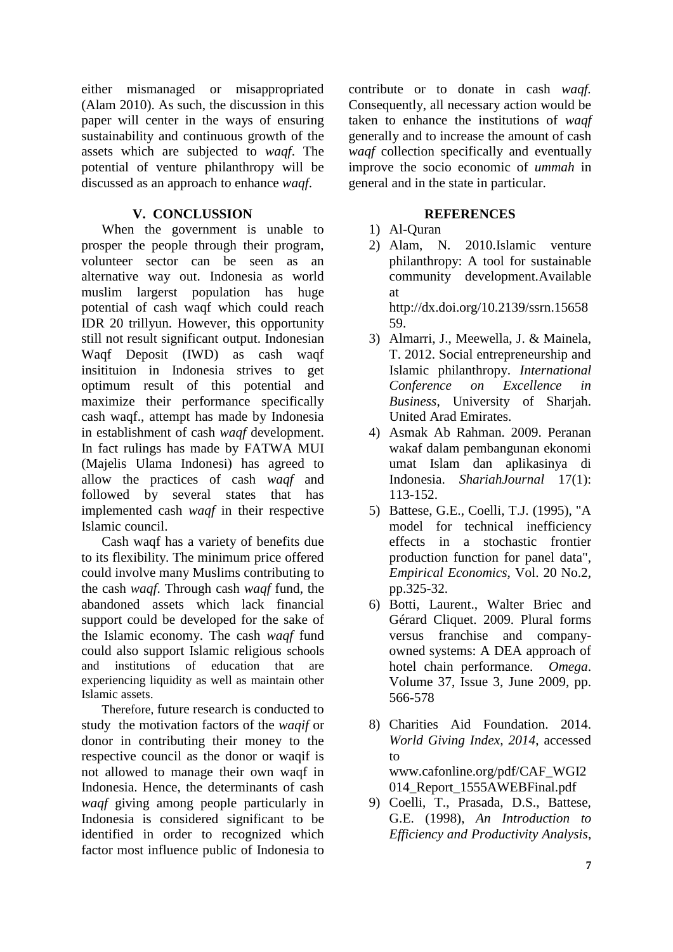either mismanaged or misappropriated (Alam 2010). As such, the discussion in this paper will center in the ways of ensuring sustainability and continuous growth of the assets which are subjected to *waqf*. The potential of venture philanthropy will be discussed as an approach to enhance *waqf*.

### **V. CONCLUSSION**

When the government is unable to prosper the people through their program, volunteer sector can be seen as an alternative way out. Indonesia as world muslim largerst population has huge potential of cash waqf which could reach IDR 20 trillyun. However, this opportunity still not result significant output. Indonesian Waqf Deposit (IWD) as cash waqf insitituion in Indonesia strives to get optimum result of this potential and maximize their performance specifically cash waqf., attempt has made by Indonesia in establishment of cash *waqf* development. In fact rulings has made by FATWA MUI (Majelis Ulama Indonesi) has agreed to allow the practices of cash *waqf* and followed by several states that has implemented cash *waqf* in their respective Islamic council.

Cash waqf has a variety of benefits due to its flexibility. The minimum price offered could involve many Muslims contributing to the cash *waqf*. Through cash *waqf* fund, the abandoned assets which lack financial support could be developed for the sake of the Islamic economy. The cash *waqf* fund could also support Islamic religious schools and institutions of education that are experiencing liquidity as well as maintain other Islamic assets.

Therefore, future research is conducted to study the motivation factors of the *waqif* or donor in contributing their money to the respective council as the donor or waqif is not allowed to manage their own waqf in Indonesia. Hence, the determinants of cash *waqf* giving among people particularly in Indonesia is considered significant to be identified in order to recognized which factor most influence public of Indonesia to

contribute or to donate in cash *waqf.*  Consequently, all necessary action would be taken to enhance the institutions of *waqf*  generally and to increase the amount of cash *waqf* collection specifically and eventually improve the socio economic of *ummah* in general and in the state in particular.

### **REFERENCES**

# 1) Al-Quran

2) Alam, N. 2010.Islamic venture philanthropy: A tool for sustainable community development*.*Available at http://dx.doi.org/10.2139/ssrn.15658

59.

- 3) Almarri, J., Meewella, J. & Mainela, T. 2012. Social entrepreneurship and Islamic philanthropy. *International Conference on Excellence in Business*, University of Sharjah. United Arad Emirates.
- 4) Asmak Ab Rahman. 2009. Peranan wakaf dalam pembangunan ekonomi umat Islam dan aplikasinya di Indonesia. *ShariahJournal* 17(1): 113-152.
- 5) Battese, G.E., Coelli, T.J. (1995), "A model for technical inefficiency effects in a stochastic frontier production function for panel data", *Empirical Economics*, Vol. 20 No.2, pp.325-32.
- 6) Botti, Laurent., Walter Briec and Gérard Cliquet. 2009. Plural forms versus franchise and companyowned systems: A DEA approach of hotel chain performance. *[Omega](http://www.sciencedirect.com/science/journal/03050483)*. [Volume 37, Issue 3,](http://www.sciencedirect.com/science?_ob=PublicationURL&_tockey=%23TOC%235944%232009%23999629996%23697117%23FLA%23&_cdi=5944&_pubType=J&view=c&_auth=y&_acct=C000050221&_version=1&_urlVersion=0&_userid=10&md5=5c0928b82ecbee3317a67f06470cae9b) June 2009, pp. 566-578
- 8) Charities Aid Foundation. 2014. *World Giving Index, 2014*, accessed to www.cafonline.org/pdf/CAF\_WGI2 014\_Report\_1555AWEBFinal.pdf
- 9) Coelli, T., Prasada, D.S., Battese, G.E. (1998), *An Introduction to Efficiency and Productivity Analysis*,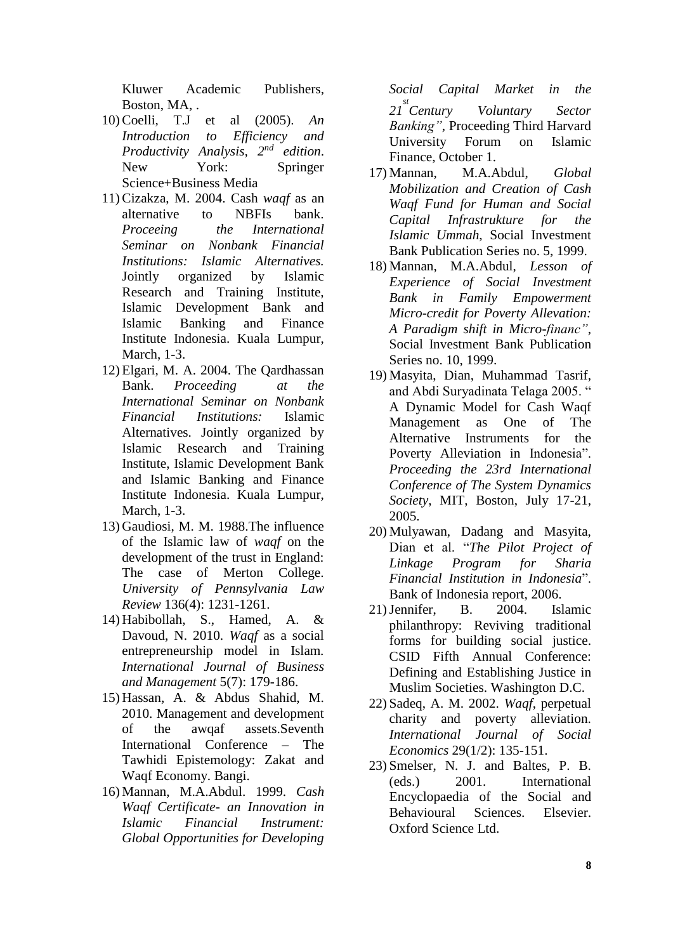Kluwer Academic Publishers, Boston, MA, .

- 10)Coelli, T.J et al (2005). *An Introduction to Efficiency and Productivity Analysis, 2nd edition*. New York: Springer Science+Business Media
- 11)Cizakza, M. 2004. Cash *waqf* as an alternative to NBFIs bank. *Proceeing the International Seminar on Nonbank Financial Institutions: Islamic Alternatives.* Jointly organized by Islamic Research and Training Institute, Islamic Development Bank and Islamic Banking and Finance Institute Indonesia. Kuala Lumpur, March, 1-3.
- 12) Elgari, M. A. 2004. The Qardhassan Bank. *Proceeding at the International Seminar on Nonbank Financial Institutions:* Islamic Alternatives. Jointly organized by Islamic Research and Training Institute, Islamic Development Bank and Islamic Banking and Finance Institute Indonesia. Kuala Lumpur, March, 1-3.
- 13) Gaudiosi, M. M. 1988.The influence of the Islamic law of *waqf* on the development of the trust in England: The case of Merton College. *University of Pennsylvania Law Review* 136(4): 1231-1261.
- 14) Habibollah, S., Hamed, A. & Davoud, N. 2010. *Waqf* as a social entrepreneurship model in Islam*. International Journal of Business and Management* 5(7): 179-186.
- 15) Hassan, A. & Abdus Shahid, M. 2010. Management and development of the awqaf assets.Seventh International Conference – The Tawhidi Epistemology: Zakat and Waqf Economy. Bangi.
- 16) Mannan, M.A.Abdul. 1999. *Cash Waqf Certificate- an Innovation in Islamic Financial Instrument: Global Opportunities for Developing*

*Social Capital Market in the 21 st Century Voluntary Sector Banking"*, Proceeding Third Harvard University Forum on Islamic Finance, October 1.

- 17) Mannan, M.A.Abdul, *Global Mobilization and Creation of Cash Waqf Fund for Human and Social Capital Infrastrukture for the Islamic Ummah*, Social Investment Bank Publication Series no. 5, 1999.
- 18) Mannan, M.A.Abdul, *Lesson of Experience of Social Investment Bank in Family Empowerment Micro-credit for Poverty Allevation: A Paradigm shift in Micro-financ"*, Social Investment Bank Publication Series no. 10, 1999.
- 19) Masyita, Dian, Muhammad Tasrif, and Abdi Suryadinata Telaga 2005. " A Dynamic Model for Cash Waqf Management as One of The Alternative Instruments for the Poverty Alleviation in Indonesia". *Proceeding the 23rd International Conference of The System Dynamics Society*, MIT, Boston, July 17-21, 2005.
- 20) Mulyawan, Dadang and Masyita, Dian et al. "*The Pilot Project of Linkage Program for Sharia Financial Institution in Indonesia*". Bank of Indonesia report, 2006.
- 21)Jennifer, B. 2004. Islamic philanthropy: Reviving traditional forms for building social justice. CSID Fifth Annual Conference: Defining and Establishing Justice in Muslim Societies. Washington D.C.
- 22) Sadeq, A. M. 2002. *Waqf*, perpetual charity and poverty alleviation. *International Journal of Social Economics* 29(1/2): 135-151.
- 23) Smelser, N. J. and Baltes, P. B. (eds.) 2001. International Encyclopaedia of the Social and Behavioural Sciences. Elsevier. Oxford Science Ltd.